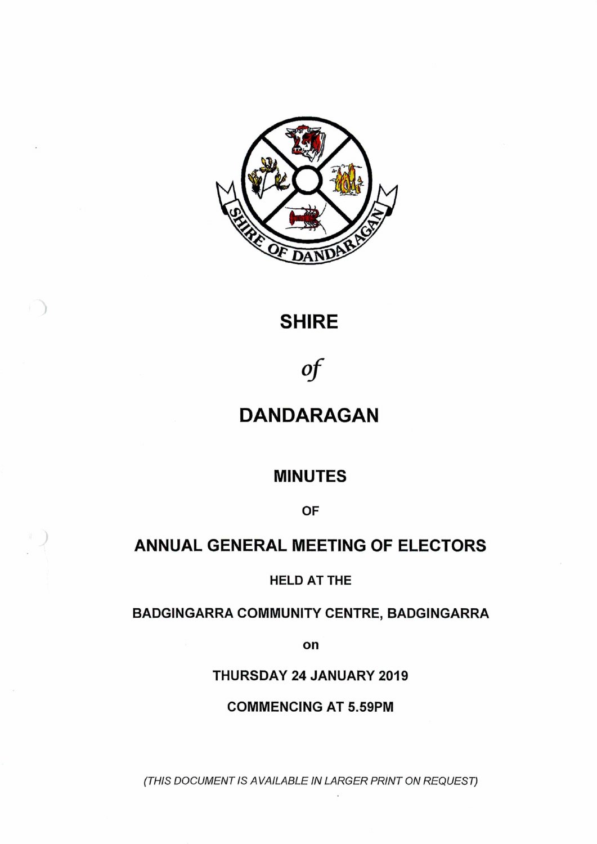

# **SHIRE**

*°f*

# **DANDARAGAN**

# **MINUTES**

**OF**

# **ANNUAL GENERAL MEETING OF ELECTORS**

**HELD AT THE**

# **BADGINGARRA COMMUNITY CENTRE, BADGINGARRA**

**on**

**THURSDAY 24 JANUARY 2019**

**COMMENCING AT 5.59PM**

*(THIS DOCUMENT IS A VAILABLE IN LARGER PRINT ON REQUEST)*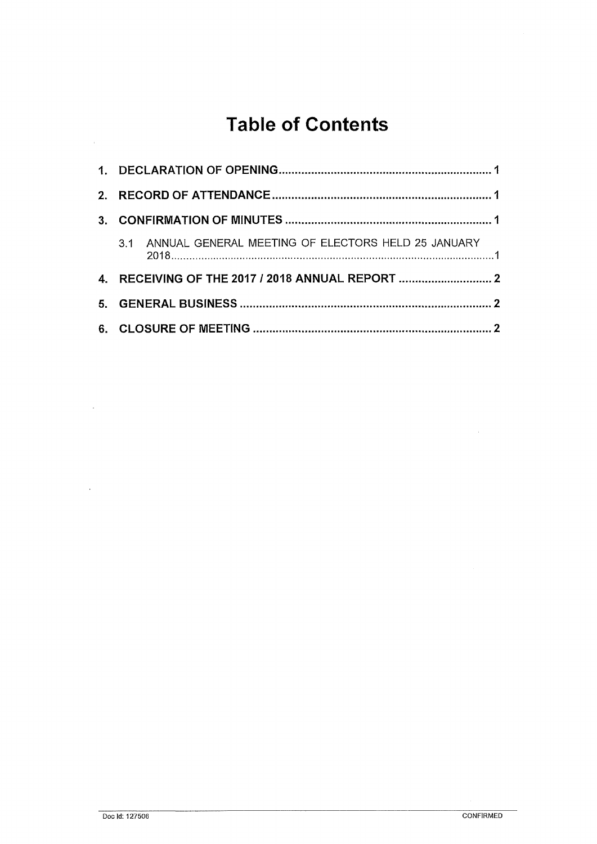# **Table of Contents**

| $\mathbf{3}$ |                                                  |                                                        |  |  |
|--------------|--------------------------------------------------|--------------------------------------------------------|--|--|
|              |                                                  | 3.1 ANNUAL GENERAL MEETING OF ELECTORS HELD 25 JANUARY |  |  |
|              | 4. RECEIVING OF THE 2017 / 2018 ANNUAL REPORT  2 |                                                        |  |  |
| 5.           |                                                  |                                                        |  |  |
|              |                                                  |                                                        |  |  |

 $\bar{z}$ 

 $\ddot{\phantom{1}}$ 

 $\sim$ 

 $\bar{\mathcal{A}}$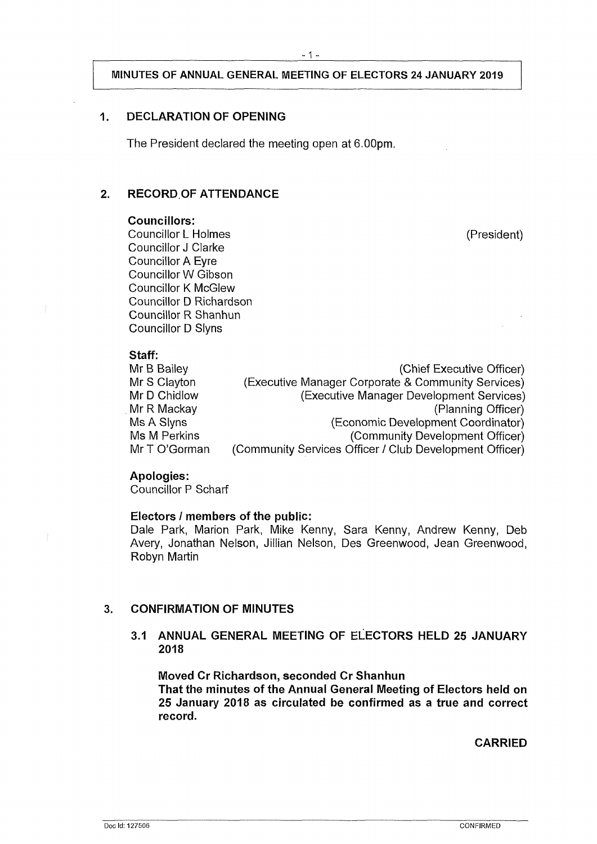# **MINUTES OF ANNUAL GENERAL MEETING OF ELECTORS 24 JANUARY 2019**

# <span id="page-2-0"></span>**1. DECLARATION OF OPENING**

The President declared the meeting open at 6.00pm.

# <span id="page-2-1"></span>**2. RECORD OF ATTENDANCE**

#### **Councillors:**

Councillor L Holmes (President) Councillor J Clarke Councillor A Eyre Councillor W Gibson Councillor K McGlew Councillor D Richardson Councillor R Shanhun Councillor D Slyns

# **Staff:**

| Jiah.         |                                                         |
|---------------|---------------------------------------------------------|
| Mr B Bailey   | (Chief Executive Officer)                               |
| Mr S Clayton  | (Executive Manager Corporate & Community Services)      |
| Mr D Chidlow  | (Executive Manager Development Services)                |
| Mr R Mackay   | (Planning Officer)                                      |
| Ms A Slyns    | (Economic Development Coordinator)                      |
| Ms M Perkins  | (Community Development Officer)                         |
| Mr T O'Gorman | (Community Services Officer / Club Development Officer) |
|               |                                                         |

### **Apologies:**

Councillor P Scharf

### **Electors / members of the public:**

Dale Park, Marion Park, Mike Kenny, Sara Kenny, Andrew Kenny, Deb Avery, Jonathan Nelson, Jillian Nelson, Des Greenwood, Jean Greenwood, Robyn Martin

# <span id="page-2-2"></span>**3. CONFIRMATION OF MINUTES**

**3.1 ANNUAL GENERAL MEETING OF ELECTORS HELD 25 JANUARY 2018**

**Moved Cr Richardson, seconded Cr Shanhun That the minutes of the Annual General Meeting of Electors held on 25 January 2018 as circulated be confirmed as a true and correct record.**

**CARRIED**